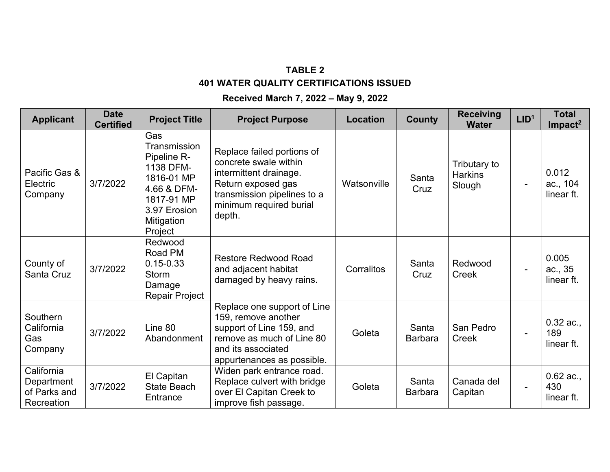## **TABLE 2 401 WATER QUALITY CERTIFICATIONS ISSUED**

## **Received March 7, 2022 – May 9, 2022**

| <b>Applicant</b>                                       | <b>Date</b><br><b>Certified</b> | <b>Project Title</b>                                                                                                                | <b>Project Purpose</b>                                                                                                                                                  | Location    | <b>County</b>           | <b>Receiving</b><br><b>Water</b>         | LID <sup>1</sup>         | <b>Total</b><br>Impact <sup>2</sup> |
|--------------------------------------------------------|---------------------------------|-------------------------------------------------------------------------------------------------------------------------------------|-------------------------------------------------------------------------------------------------------------------------------------------------------------------------|-------------|-------------------------|------------------------------------------|--------------------------|-------------------------------------|
| Pacific Gas &<br>Electric<br>Company                   | 3/7/2022                        | Gas<br>Transmission<br>Pipeline R-<br>1138 DFM-<br>1816-01 MP<br>4.66 & DFM-<br>1817-91 MP<br>3.97 Erosion<br>Mitigation<br>Project | Replace failed portions of<br>concrete swale within<br>intermittent drainage.<br>Return exposed gas<br>transmission pipelines to a<br>minimum required burial<br>depth. | Watsonville | Santa<br>Cruz           | Tributary to<br><b>Harkins</b><br>Slough | $\overline{\phantom{a}}$ | 0.012<br>ac., 104<br>linear ft.     |
| County of<br>Santa Cruz                                | 3/7/2022                        | Redwood<br>Road PM<br>$0.15 - 0.33$<br><b>Storm</b><br>Damage<br>Repair Project                                                     | <b>Restore Redwood Road</b><br>and adjacent habitat<br>damaged by heavy rains.                                                                                          | Corralitos  | Santa<br>Cruz           | Redwood<br>Creek                         | $\blacksquare$           | 0.005<br>ac., 35<br>linear ft.      |
| Southern<br>California<br>Gas<br>Company               | 3/7/2022                        | Line 80<br>Abandonment                                                                                                              | Replace one support of Line<br>159, remove another<br>support of Line 159, and<br>remove as much of Line 80<br>and its associated<br>appurtenances as possible.         | Goleta      | Santa<br><b>Barbara</b> | San Pedro<br><b>Creek</b>                | $\blacksquare$           | $0.32$ ac.,<br>189<br>linear ft.    |
| California<br>Department<br>of Parks and<br>Recreation | 3/7/2022                        | El Capitan<br><b>State Beach</b><br>Entrance                                                                                        | Widen park entrance road.<br>Replace culvert with bridge<br>over El Capitan Creek to<br>improve fish passage.                                                           | Goleta      | Santa<br><b>Barbara</b> | Canada del<br>Capitan                    |                          | $0.62$ ac.,<br>430<br>linear ft.    |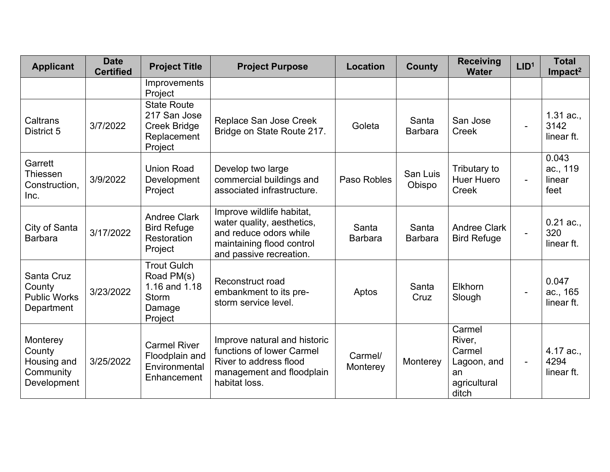| <b>Applicant</b>                                              | <b>Date</b><br><b>Certified</b> | <b>Project Title</b>                                                                   | <b>Project Purpose</b>                                                                                                                    | <b>Location</b>         | <b>County</b>           | <b>Receiving</b><br><b>Water</b>                                         | LID <sup>1</sup> | <b>Total</b><br>$Im$ pact <sup>2</sup> |
|---------------------------------------------------------------|---------------------------------|----------------------------------------------------------------------------------------|-------------------------------------------------------------------------------------------------------------------------------------------|-------------------------|-------------------------|--------------------------------------------------------------------------|------------------|----------------------------------------|
|                                                               |                                 | Improvements<br>Project                                                                |                                                                                                                                           |                         |                         |                                                                          |                  |                                        |
| Caltrans<br>District 5                                        | 3/7/2022                        | <b>State Route</b><br>217 San Jose<br><b>Creek Bridge</b><br>Replacement<br>Project    | Replace San Jose Creek<br>Bridge on State Route 217.                                                                                      | Goleta                  | Santa<br><b>Barbara</b> | San Jose<br><b>Creek</b>                                                 | $\blacksquare$   | $1.31$ ac.,<br>3142<br>linear ft.      |
| Garrett<br>Thiessen<br>Construction.<br>Inc.                  | 3/9/2022                        | <b>Union Road</b><br>Development<br>Project                                            | Develop two large<br>commercial buildings and<br>associated infrastructure.                                                               | Paso Robles             | San Luis<br>Obispo      | Tributary to<br><b>Huer Huero</b><br><b>Creek</b>                        | $\blacksquare$   | 0.043<br>ac., 119<br>linear<br>feet    |
| City of Santa<br><b>Barbara</b>                               | 3/17/2022                       | <b>Andree Clark</b><br><b>Bird Refuge</b><br>Restoration<br>Project                    | Improve wildlife habitat,<br>water quality, aesthetics,<br>and reduce odors while<br>maintaining flood control<br>and passive recreation. | Santa<br><b>Barbara</b> | Santa<br><b>Barbara</b> | <b>Andree Clark</b><br><b>Bird Refuge</b>                                | $\blacksquare$   | $0.21$ ac.,<br>320<br>linear ft.       |
| Santa Cruz<br>County<br><b>Public Works</b><br>Department     | 3/23/2022                       | <b>Trout Gulch</b><br>Road PM(s)<br>1.16 and 1.18<br><b>Storm</b><br>Damage<br>Project | Reconstruct road<br>embankment to its pre-<br>storm service level.                                                                        | Aptos                   | Santa<br>Cruz           | Elkhorn<br>Slough                                                        | $\blacksquare$   | 0.047<br>ac., 165<br>linear ft.        |
| Monterey<br>County<br>Housing and<br>Community<br>Development | 3/25/2022                       | <b>Carmel River</b><br>Floodplain and<br>Environmental<br>Enhancement                  | Improve natural and historic<br>functions of lower Carmel<br>River to address flood<br>management and floodplain<br>habitat loss.         | Carmel/<br>Monterey     | Monterey                | Carmel<br>River,<br>Carmel<br>Lagoon, and<br>an<br>agricultural<br>ditch | $\blacksquare$   | 4.17 ac.,<br>4294<br>linear ft.        |